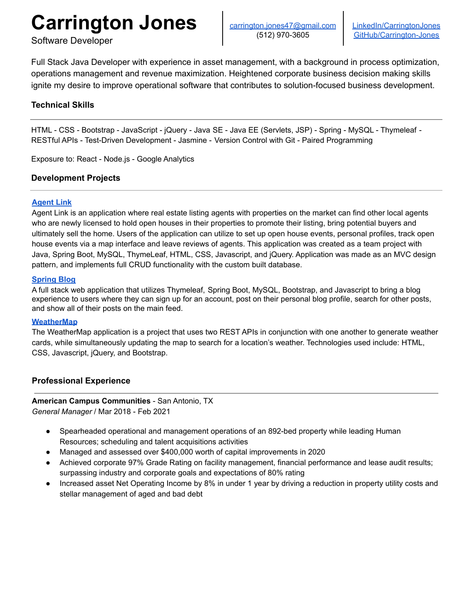# **Carrington Jones**

Software Developer

Full Stack Java Developer with experience in asset management, with a background in process optimization, operations management and revenue maximization. Heightened corporate business decision making skills ignite my desire to improve operational software that contributes to solution-focused business development.

# **Technical Skills**

HTML - CSS - Bootstrap - JavaScript - jQuery - Java SE - Java EE (Servlets, JSP) - Spring - MySQL - Thymeleaf - RESTful APIs - Test-Driven Development - Jasmine - Version Control with Git - Paired Programming

Exposure to: React - Node.js - Google Analytics

## **Development Projects**

## **[Agent](https://github.com/Agent-Link/Agent-Link) Link**

Agent Link is an application where real estate listing agents with properties on the market can find other local agents who are newly licensed to hold open houses in their properties to promote their listing, bring potential buyers and ultimately sell the home. Users of the application can utilize to set up open house events, personal profiles, track open house events via a map interface and leave reviews of agents. This application was created as a team project with Java, Spring Boot, MySQL, ThymeLeaf, HTML, CSS, Javascript, and jQuery. Application was made as an MVC design pattern, and implements full CRUD functionality with the custom built database.

#### **[Spring](https://github.com/carrington-jones/springblog) Blog**

A full stack web application that utilizes Thymeleaf, Spring Boot, MySQL, Bootstrap, and Javascript to bring a blog experience to users where they can sign up for an account, post on their personal blog profile, search for other posts, and show all of their posts on the main feed.

#### **[WeatherMap](https://github.com/carrington-jones/WeatherMap)**

The WeatherMap application is a project that uses two REST APIs in conjunction with one another to generate weather cards, while simultaneously updating the map to search for a location's weather. Technologies used include: HTML, CSS, Javascript, jQuery, and Bootstrap.

## **Professional Experience**

# **American Campus Communities** - San Antonio, TX

*General Manager* / Mar 2018 - Feb 2021

- Spearheaded operational and management operations of an 892-bed property while leading Human Resources; scheduling and talent acquisitions activities
- Managed and assessed over \$400,000 worth of capital improvements in 2020
- Achieved corporate 97% Grade Rating on facility management, financial performance and lease audit results; surpassing industry and corporate goals and expectations of 80% rating
- Increased asset Net Operating Income by 8% in under 1 year by driving a reduction in property utility costs and stellar management of aged and bad debt